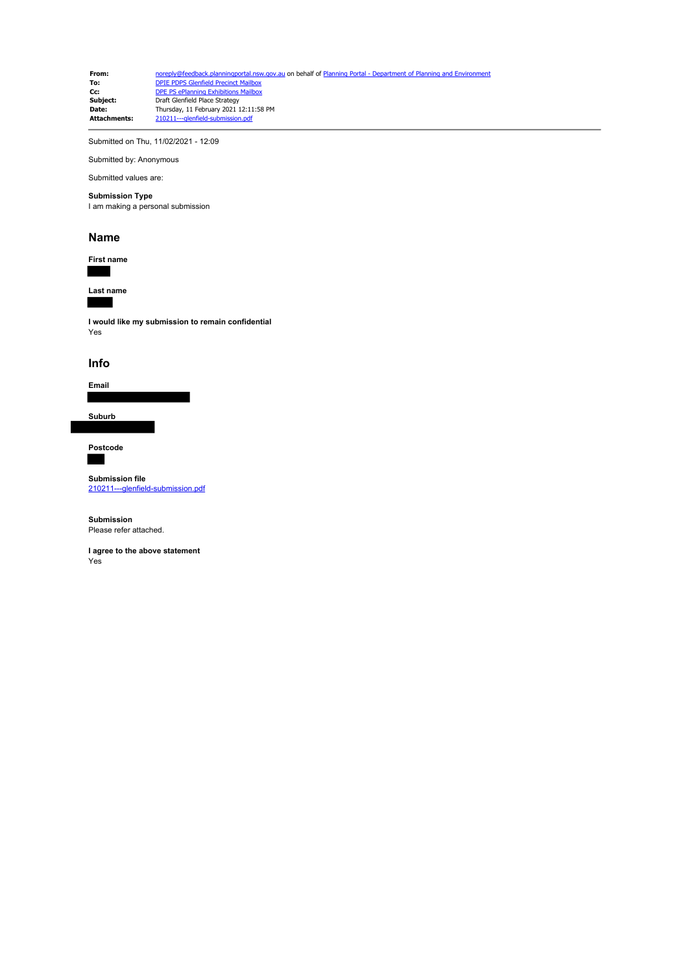**From:** [noreply@feedback.planningportal.nsw.gov.au](mailto:noreply@feedback.planningportal.nsw.gov.au) on behalf of Planning Portal - Department of Planning and Environ<br> **To:** DPIE PDPS Glenfield Precinct Mailbox **To:** [DPIE PDPS Glenfield Precinct Mailbox](mailto:glenfield.precinct@planning.nsw.gov.au)<br>**Cc:** [DPE PS ePlanning Exhibitions Mailbox](mailto:eplanning.exhibitions@planning.nsw.gov.au) **Subject:** Draft Glenfield Place Strategy<br>**Date:** Thursday, 11 February 2021 12:11:58 PM<br>**Attachments:** 210211---glenfield-submission.pdf

Submitted on Thu, 11/02/2021 - 12:09

Submitted by: Anonymous

# Submitted values are:

**Submission Type** I am making a personal submission

### **Name**

**First name**

**Last name**

**I would like my submission to remain confidential** Yes

## **Info**

**Email**

**Suburb**

**Postcode**

**Submission file** [210211---glenfield-submission.pdf](https://pp.planningportal.nsw.gov.au/system/files/webform/draft_plans_glenfield/118586/210211---glenfield-submission.pdf)

**Submission** Please refer attached.

**I agree to the above statement** Yes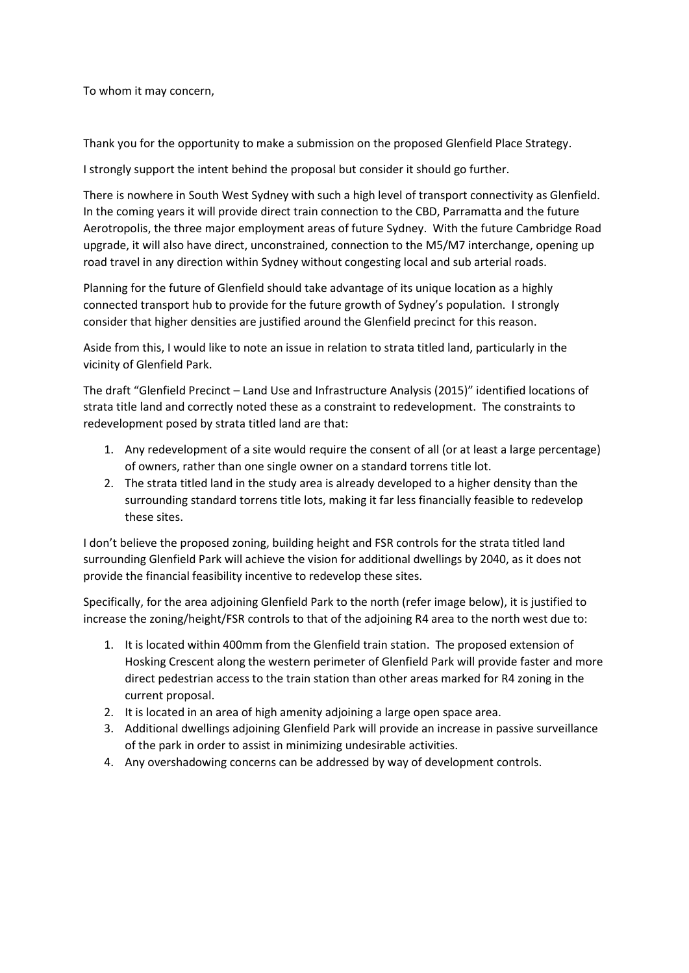To whom it may concern,

Thank you for the opportunity to make a submission on the proposed Glenfield Place Strategy.

I strongly support the intent behind the proposal but consider it should go further.

There is nowhere in South West Sydney with such a high level of transport connectivity as Glenfield. In the coming years it will provide direct train connection to the CBD, Parramatta and the future Aerotropolis, the three major employment areas of future Sydney. With the future Cambridge Road upgrade, it will also have direct, unconstrained, connection to the M5/M7 interchange, opening up road travel in any direction within Sydney without congesting local and sub arterial roads.

Planning for the future of Glenfield should take advantage of its unique location as a highly connected transport hub to provide for the future growth of Sydney's population. I strongly consider that higher densities are justified around the Glenfield precinct for this reason.

Aside from this, I would like to note an issue in relation to strata titled land, particularly in the vicinity of Glenfield Park.

The draft "Glenfield Precinct – Land Use and Infrastructure Analysis (2015)" identified locations of strata title land and correctly noted these as a constraint to redevelopment. The constraints to redevelopment posed by strata titled land are that:

- 1. Any redevelopment of a site would require the consent of all (or at least a large percentage) of owners, rather than one single owner on a standard torrens title lot.
- 2. The strata titled land in the study area is already developed to a higher density than the surrounding standard torrens title lots, making it far less financially feasible to redevelop these sites.

I don't believe the proposed zoning, building height and FSR controls for the strata titled land surrounding Glenfield Park will achieve the vision for additional dwellings by 2040, as it does not provide the financial feasibility incentive to redevelop these sites.

Specifically, for the area adjoining Glenfield Park to the north (refer image below), it is justified to increase the zoning/height/FSR controls to that of the adjoining R4 area to the north west due to:

- 1. It is located within 400mm from the Glenfield train station. The proposed extension of Hosking Crescent along the western perimeter of Glenfield Park will provide faster and more direct pedestrian access to the train station than other areas marked for R4 zoning in the current proposal.
- 2. It is located in an area of high amenity adjoining a large open space area.
- 3. Additional dwellings adjoining Glenfield Park will provide an increase in passive surveillance of the park in order to assist in minimizing undesirable activities.
- 4. Any overshadowing concerns can be addressed by way of development controls.